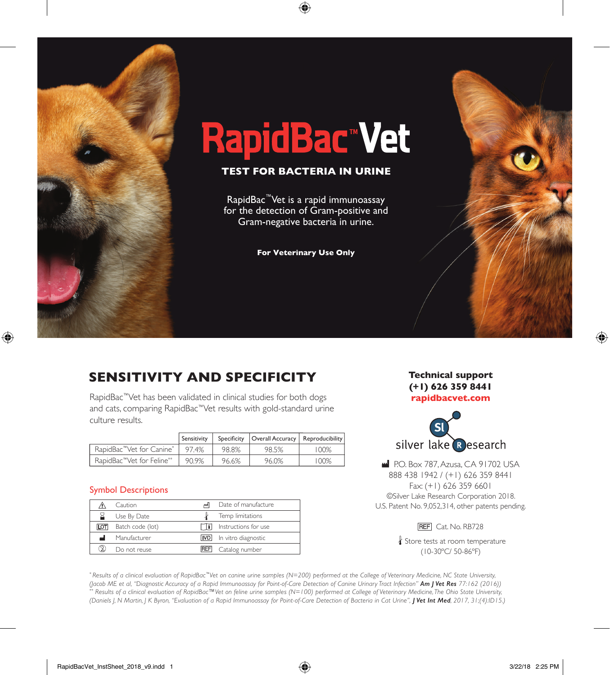

# **RapidBac™vet**

#### **TEST FOR BACTERIA IN URINE**

RapidBac<sup>™</sup>Vet is a rapid immunoassay for the detection of Gram-positive and Gram-negative bacteria in urine.

**For Veterinary Use Only**

## **SENSITIVITY AND SPECIFICITY**

RapidBac™Vet has been validated in clinical studies for both dogs and cats, comparing RapidBac™Vet results with gold-standard urine culture results.

|                                        | Sensitivity |       | Specificity   Overall Accuracy   Reproducibility |         |
|----------------------------------------|-------------|-------|--------------------------------------------------|---------|
| RapidBac™Vet for Canine*               | 97.4%       | 98.8% | 98.5%                                            | 100%    |
| RapidBac <sup>"</sup> Vet for Feline** | 90.9%       | 96.6% | 96.0%                                            | $100\%$ |

#### Symbol Descriptions

|     | Caution          |            | Date of manufacture  |
|-----|------------------|------------|----------------------|
|     | Use By Date      |            | Temp limitations     |
| LOT | Batch code (lot) |            | Instructions for use |
| اس  | Manufacturer     | <b>IVD</b> | In vitro diagnostic  |
|     | Do not reuse     | REFI       | Catalog number       |

**Technical support (+1) 626 359 8441 rapidbacvet.com**



P.O. Box 787, Azusa, CA 91702 USA 888 438 1942 / (+1) 626 359 8441 Fax: (+1) 626 359 6601 ©Silver Lake Research Corporation 2018. U.S. Patent No. 9,052,314, other patents pending.

**REF** Cat. No. RB728

Store tests at room temperature (10-30ºC/ 50-86ºF)

*\* Results of a clinical evaluation of RapidBac™Vet on canine urine samples (N=200) performed at the College of Veterinary Medicine, NC State University, (Jacob ME et al, "Diagnostic Accuracy of a Rapid Immunoassay for Point-of-Care Detection of Canine Urinary Tract Infection" Am J Vet Res 77:162 (2016)) \*\* Results of a clinical evaluation of RapidBac™Vet on feline urine samples (N=100) performed at College of Veterinary Medicine, The Ohio State University, (Daniels J, N Martin, J K Byron, "Evaluation of a Rapid Immunoassay for Point-of-Care Detection of Bacteria in Cat Urine", J Vet Int Med, 2017, 31;(4):ID15.)*